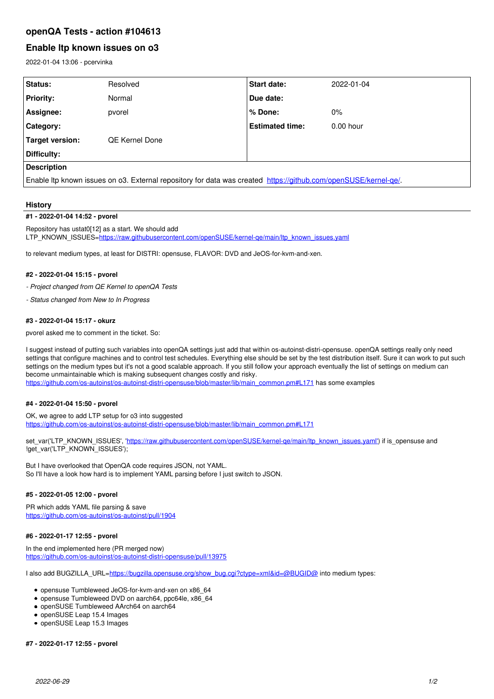# **openQA Tests - action #104613**

# **Enable ltp known issues on o3**

2022-01-04 13:06 - pcervinka

| Status:                                                                                                        | Resolved              | <b>Start date:</b>     | 2022-01-04  |
|----------------------------------------------------------------------------------------------------------------|-----------------------|------------------------|-------------|
| <b>Priority:</b>                                                                                               | Normal                | Due date:              |             |
| Assignee:                                                                                                      | pvorel                | ∣% Done:               | $0\%$       |
| Category:                                                                                                      |                       | <b>Estimated time:</b> | $0.00$ hour |
| Target version:                                                                                                | <b>QE Kernel Done</b> |                        |             |
| Difficulty:                                                                                                    |                       |                        |             |
| <b>Description</b>                                                                                             |                       |                        |             |
| Enable ltp known issues on o3. External repository for data was created https://github.com/openSUSE/kernel-ge/ |                       |                        |             |

## **History**

## **#1 - 2022-01-04 14:52 - pvorel**

Repository has ustat0[12] as a start. We should add LTP\_KNOWN\_ISSUES[=https://raw.githubusercontent.com/openSUSE/kernel-qe/main/ltp\\_known\\_issues.yaml](https://raw.githubusercontent.com/openSUSE/kernel-qe/main/ltp_known_issues.yaml)

to relevant medium types, at least for DISTRI: opensuse, FLAVOR: DVD and JeOS-for-kvm-and-xen.

### **#2 - 2022-01-04 15:15 - pvorel**

- *Project changed from QE Kernel to openQA Tests*
- *Status changed from New to In Progress*

#### **#3 - 2022-01-04 15:17 - okurz**

pvorel asked me to comment in the ticket. So:

I suggest instead of putting such variables into openQA settings just add that within os-autoinst-distri-opensuse. openQA settings really only need settings that configure machines and to control test schedules. Everything else should be set by the test distribution itself. Sure it can work to put such settings on the medium types but it's not a good scalable approach. If you still follow your approach eventually the list of settings on medium can become unmaintainable which is making subsequent changes costly and risky. [https://github.com/os-autoinst/os-autoinst-distri-opensuse/blob/master/lib/main\\_common.pm#L171](https://github.com/os-autoinst/os-autoinst-distri-opensuse/blob/master/lib/main_common.pm#L171) has some examples

#### **#4 - 2022-01-04 15:50 - pvorel**

OK, we agree to add LTP setup for o3 into suggested [https://github.com/os-autoinst/os-autoinst-distri-opensuse/blob/master/lib/main\\_common.pm#L171](https://github.com/os-autoinst/os-autoinst-distri-opensuse/blob/master/lib/main_common.pm#L171)

set\_var('LTP\_KNOWN\_ISSUES', 'https://raw.githubusercontent.com/openSUSE/kernel-ge/main/ltp\_known\_issues.yaml') if is\_opensuse and !get\_var('LTP\_KNOWN\_ISSUES');

But I have overlooked that OpenQA code requires JSON, not YAML. So I'll have a look how hard is to implement YAML parsing before I just switch to JSON.

## **#5 - 2022-01-05 12:00 - pvorel**

PR which adds YAML file parsing & save <https://github.com/os-autoinst/os-autoinst/pull/1904>

### **#6 - 2022-01-17 12:55 - pvorel**

In the end implemented here (PR merged now) <https://github.com/os-autoinst/os-autoinst-distri-opensuse/pull/13975>

I also add BUGZILLA\_URL=[https://bugzilla.opensuse.org/show\\_bug.cgi?ctype=xml&id=@BUGID@](https://bugzilla.opensuse.org/show_bug.cgi?ctype=xml&id=@BUGID@) into medium types:

- opensuse Tumbleweed JeOS-for-kvm-and-xen on x86\_64
- opensuse Tumbleweed DVD on aarch64, ppc64le, x86\_64
- openSUSE Tumbleweed AArch64 on aarch64
- openSUSE Leap 15.4 Images
- openSUSE Leap 15.3 Images

#### **#7 - 2022-01-17 12:55 - pvorel**